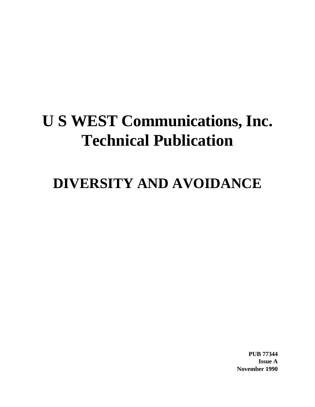# **U S WEST Communications, Inc. Technical Publication**

## **DIVERSITY AND AVOIDANCE**

**PUB 77344 Issue A November 1990**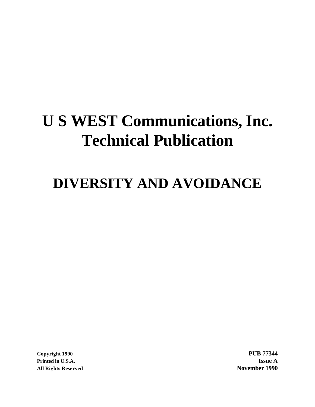# **U S WEST Communications, Inc. Technical Publication**

## **DIVERSITY AND AVOIDANCE**

**Printed in U.S.A. Issue A All Rights Reserved November 1990**

**Copyright 1990 PUB 77344**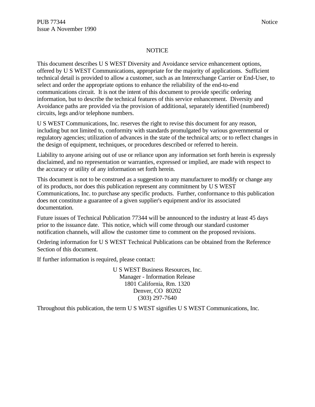#### **NOTICE**

This document describes U S WEST Diversity and Avoidance service enhancement options, offered by U S WEST Communications, appropriate for the majority of applications. Sufficient technical detail is provided to allow a customer, such as an Interexchange Carrier or End-User, to select and order the appropriate options to enhance the reliability of the end-to-end communications circuit. It is not the intent of this document to provide specific ordering information, but to describe the technical features of this service enhancement. Diversity and Avoidance paths are provided via the provision of additional, separately identified (numbered) circuits, legs and/or telephone numbers.

U S WEST Communications, Inc. reserves the right to revise this document for any reason, including but not limited to, conformity with standards promulgated by various governmental or regulatory agencies; utilization of advances in the state of the technical arts; or to reflect changes in the design of equipment, techniques, or procedures described or referred to herein.

Liability to anyone arising out of use or reliance upon any information set forth herein is expressly disclaimed, and no representation or warranties, expressed or implied, are made with respect to the accuracy or utility of any information set forth herein.

This document is not to be construed as a suggestion to any manufacturer to modify or change any of its products, nor does this publication represent any commitment by U S WEST Communications, Inc. to purchase any specific products. Further, conformance to this publication does not constitute a guarantee of a given supplier's equipment and/or its associated documentation.

Future issues of Technical Publication 77344 will be announced to the industry at least 45 days prior to the issuance date. This notice, which will come through our standard customer notification channels, will allow the customer time to comment on the proposed revisions.

Ordering information for U S WEST Technical Publications can be obtained from the Reference Section of this document.

If further information is required, please contact:

U S WEST Business Resources, Inc. Manager - Information Release 1801 California, Rm. 1320 Denver, CO 80202 (303) 297-7640

Throughout this publication, the term U S WEST signifies U S WEST Communications, Inc.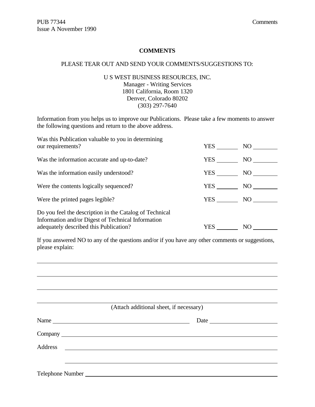#### **COMMENTS**

#### PLEASE TEAR OUT AND SEND YOUR COMMENTS/SUGGESTIONS TO:

#### U S WEST BUSINESS RESOURCES, INC. Manager - Writing Services 1801 California, Room 1320 Denver, Colorado 80202 (303) 297-7640

Information from you helps us to improve our Publications. Please take a few moments to answer the following questions and return to the above address.

| Was this Publication valuable to you in determining<br>our requirements?                                                                                | YES | NO |
|---------------------------------------------------------------------------------------------------------------------------------------------------------|-----|----|
| Was the information accurate and up-to-date?                                                                                                            | YES | NO |
| Was the information easily understood?                                                                                                                  | YES | NO |
| Were the contents logically sequenced?                                                                                                                  | YES | NO |
| Were the printed pages legible?                                                                                                                         | YES | NO |
| Do you feel the description in the Catalog of Technical<br>Information and/or Digest of Technical Information<br>adequately described this Publication? | YES | NO |

If you answered NO to any of the questions and/or if you have any other comments or suggestions, please explain:

|                  | (Attach additional sheet, if necessary) |  |
|------------------|-----------------------------------------|--|
|                  | Date                                    |  |
|                  |                                         |  |
|                  |                                         |  |
|                  |                                         |  |
|                  |                                         |  |
| Telephone Number |                                         |  |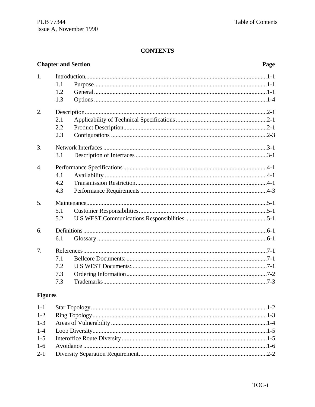#### **CONTENTS**

#### **Chapter and Section** Page  $1<sub>1</sub>$  $1.1$  $1.2$  $1.3$  $2.$  $2.1$  $2.2$  $2.3$  $3.$  $3.1$  $\overline{4}$ .  $4.1$  $4.2$  $4.3$ 5.  $5<sub>1</sub>$  $5.2$ 6.  $6.1$  $7<sub>1</sub>$  $7.1$  $7.2$  $7.3$  $7.3$

#### **Figures**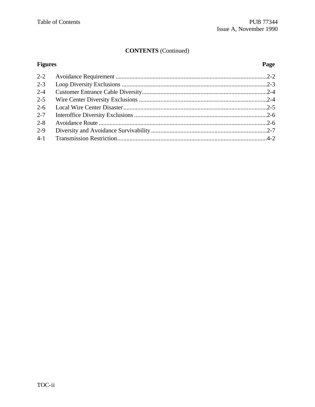## **CONTENTS** (Continued)

## **Figures**

## Page

| $2 - 3$ |  |
|---------|--|
| $2 - 4$ |  |
| $2 - 5$ |  |
|         |  |
| $2 - 7$ |  |
| $2 - 8$ |  |
| $2 - 9$ |  |
|         |  |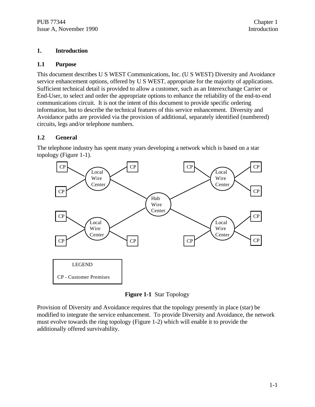#### **1. Introduction**

#### **1.1 Purpose**

This document describes U S WEST Communications, Inc. (U S WEST) Diversity and Avoidance service enhancement options, offered by U S WEST, appropriate for the majority of applications. Sufficient technical detail is provided to allow a customer, such as an Interexchange Carrier or End-User, to select and order the appropriate options to enhance the reliability of the end-to-end communications circuit. It is not the intent of this document to provide specific ordering information, but to describe the technical features of this service enhancement. Diversity and Avoidance paths are provided via the provision of additional, separately identified (numbered) circuits, legs and/or telephone numbers.

#### **1.2 General**

The telephone industry has spent many years developing a network which is based on a star topology (Figure 1-1).



**Figure 1-1** Star Topology

Provision of Diversity and Avoidance requires that the topology presently in place (star) be modified to integrate the service enhancement. To provide Diversity and Avoidance, the network must evolve towards the ring topology (Figure 1-2) which will enable it to provide the additionally offered survivability.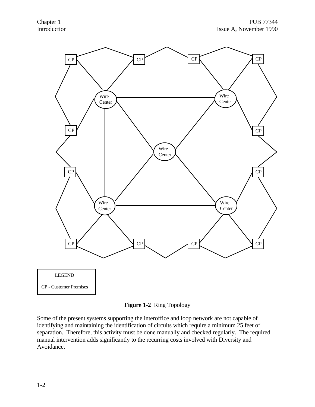



Some of the present systems supporting the interoffice and loop network are not capable of identifying and maintaining the identification of circuits which require a minimum 25 feet of separation. Therefore, this activity must be done manually and checked regularly. The required manual intervention adds significantly to the recurring costs involved with Diversity and Avoidance.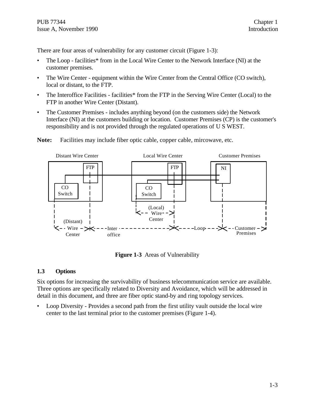There are four areas of vulnerability for any customer circuit (Figure 1-3):

- The Loop facilities\* from in the Local Wire Center to the Network Interface (NI) at the customer premises.
- The Wire Center equipment within the Wire Center from the Central Office (CO switch), local or distant, to the FTP.
- The Interoffice Facilities facilities\* from the FTP in the Serving Wire Center (Local) to the FTP in another Wire Center (Distant).
- The Customer Premises includes anything beyond (on the customers side) the Network Interface (NI) at the customers building or location. Customer Premises (CP) is the customer's responsibility and is not provided through the regulated operations of U S WEST.



**Note:** Facilities may include fiber optic cable, copper cable, mircowave, etc.

**Figure 1-3** Areas of Vulnerability

#### **1.3 Options**

Six options for increasing the survivability of business telecommunication service are available. Three options are specifically related to Diversity and Avoidance, which will be addressed in detail in this document, and three are fiber optic stand-by and ring topology services.

• Loop Diversity - Provides a second path from the first utility vault outside the local wire center to the last terminal prior to the customer premises (Figure 1-4).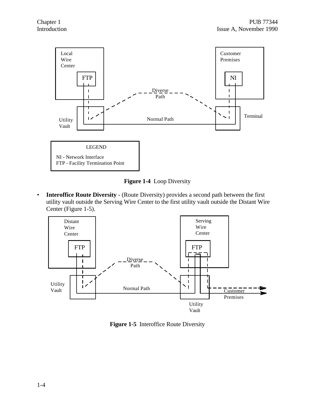

**Figure 1-4** Loop Diversity

• **Interoffice Route Diversity** - (Route Diversity) provides a second path between the first utility vault outside the Serving Wire Center to the first utility vault outside the Distant Wire Center (Figure 1-5).



**Figure 1-5** Interoffice Route Diversity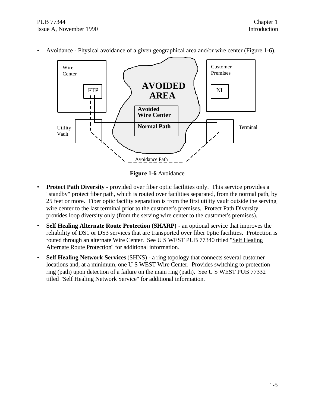PUB 77344 Chapter 1 Issue A, November 1990 Introduction



• Avoidance - Physical avoidance of a given geographical area and/or wire center (Figure 1-6).

**Figure 1-6** Avoidance

- **Protect Path Diversity** provided over fiber optic facilities only. This service provides a "standby" protect fiber path, which is routed over facilities separated, from the normal path, by 25 feet or more. Fiber optic facility separation is from the first utility vault outside the serving wire center to the last terminal prior to the customer's premises. Protect Path Diversity provides loop diversity only (from the serving wire center to the customer's premises).
- **Self Healing Alternate Route Protection (SHARP)** an optional service that improves the reliability of DS1 or DS3 services that are transported over fiber 0ptic facilities. Protection is routed through an alternate Wire Center. See U S WEST PUB 77340 titled "Self Healing Alternate Route Protection" for additional information.
- **Self Healing Network Services** (SHNS) a ring topology that connects several customer locations and, at a minimum, one U S WEST Wire Center. Provides switching to protection ring (path) upon detection of a failure on the main ring (path). See U S WEST PUB 77332 titled "Self Healing Network Service" for additional information.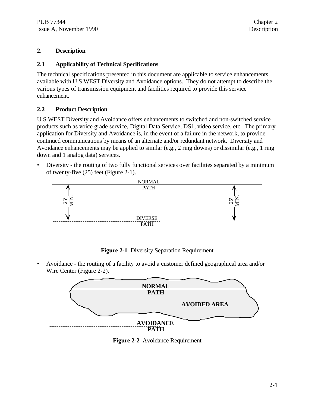#### **2. Description**

#### **2.1 Applicability of Technical Specifications**

The technical specifications presented in this document are applicable to service enhancements available with U S WEST Diversity and Avoidance options. They do not attempt to describe the various types of transmission equipment and facilities required to provide this service enhancement.

#### **2.2 Product Description**

U S WEST Diversity and Avoidance offers enhancements to switched and non-switched service products such as voice grade service, Digital Data Service, DS1, video service, etc. The primary application for Diversity and Avoidance is, in the event of a failure in the network, to provide continued communications by means of an alternate and/or redundant network. Diversity and Avoidance enhancements may be applied to similar (e.g., 2 ring downs) or dissimilar (e.g., 1 ring down and 1 analog data) services.

• Diversity - the routing of two fully functional services over facilities separated by a minimum of twenty-five (25) feet (Figure 2-1).



**Figure 2-1** Diversity Separation Requirement

• Avoidance - the routing of a facility to avoid a customer defined geographical area and/or Wire Center (Figure 2-2).



**Figure 2-2** Avoidance Requirement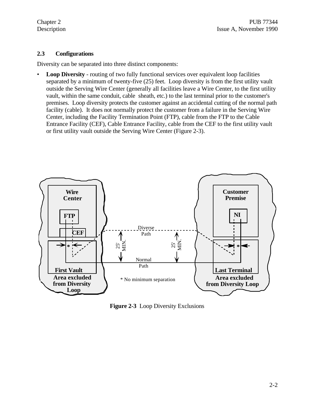#### **2.3 Configurations**

Diversity can be separated into three distinct components:

• **Loop Diversity** - routing of two fully functional services over equivalent loop facilities separated by a minimum of twenty-five (25) feet. Loop diversity is from the first utility vault outside the Serving Wire Center (generally all facilities leave a Wire Center, to the first utility vault, within the same conduit, cable sheath, etc.) to the last terminal prior to the customer's premises. Loop diversity protects the customer against an accidental cutting of the normal path facility (cable). It does not normally protect the customer from a failure in the Serving Wire Center, including the Facility Termination Point (FTP), cable from the FTP to the Cable Entrance Facility (CEF), Cable Entrance Facility, cable from the CEF to the first utility vault or first utility vault outside the Serving Wire Center (Figure 2-3).



**Figure 2-3** Loop Diversity Exclusions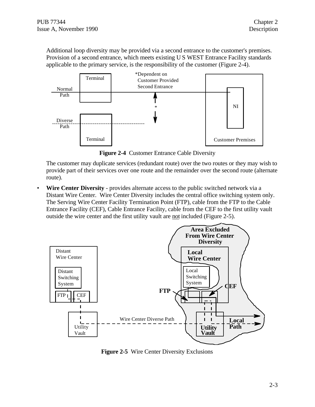Additional loop diversity may be provided via a second entrance to the customer's premises. Provision of a second entrance, which meets existing U S WEST Entrance Facility standards applicable to the primary service, is the responsibility of the customer (Figure 2-4).



**Figure 2-4** Customer Entrance Cable Diversity

The customer may duplicate services (redundant route) over the two routes or they may wish to provide part of their services over one route and the remainder over the second route (alternate route).

• **Wire Center Diversity** - provides alternate access to the public switched network via a Distant Wire Center. Wire Center Diversity includes the central office switching system only. The Serving Wire Center Facility Termination Point (FTP), cable from the FTP to the Cable Entrance Facility (CEF), Cable Entrance Facility, cable from the CEF to the first utility vault outside the wire center and the first utility vault are not included (Figure 2-5).



**Figure 2-5** Wire Center Diversity Exclusions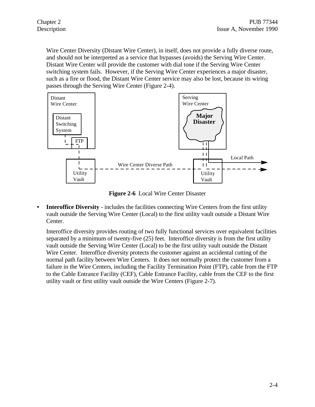Wire Center Diversity (Distant Wire Center), in itself, does not provide a fully diverse route, and should not be interpreted as a service that bypasses (avoids) the Serving Wire Center. Distant Wire Center will provide the customer with dial tone if the Serving Wire Center switching system fails. However, if the Serving Wire Center experiences a major disaster, such as a fire or flood, the Distant Wire Center service may also be lost, because its wiring passes through the Serving Wire Center (Figure 2-4).



**Figure 2-6** Local Wire Center Disaster

**• Interoffice Diversity** - includes the facilities connecting Wire Centers from the first utility vault outside the Serving Wire Center (Local) to the first utility vault outside a Distant Wire Center.

Interoffice diversity provides routing of two fully functional services over equivalent facilities separated by a minimum of twenty-five (25) feet. Interoffice diversity is from the first utility vault outside the Serving Wire Center (Local) to be the first utility vault outside the Distant Wire Center. Interoffice diversity protects the customer against an accidental cutting of the normal path facility between Wire Centers. It does not normally protect the customer from a failure in the Wire Centers, including the Facility Termination Point (FTP), cable from the FTP to the Cable Entrance Facility (CEF), Cable Entrance Facility, cable from the CEF to the first utility vault or first utility vault outside the Wire Centers (Figure 2-7).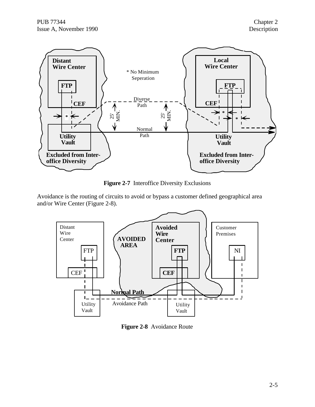

**Figure 2-7** Interoffice Diversity Exclusions

Avoidance is the routing of circuits to avoid or bypass a customer defined geographical area and/or Wire Center (Figure 2-8).



**Figure 2-8** Avoidance Route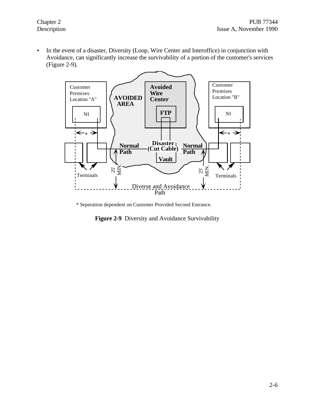• In the event of a disaster, Diversity (Loop, Wire Center and Interoffice) in conjunction with Avoidance, can significantly increase the survivability of a portion of the customer's services (Figure 2-9).



\* Seperation dependent on Customer Provided Second Entrance.

**Figure 2-9** Diversity and Avoidance Survivability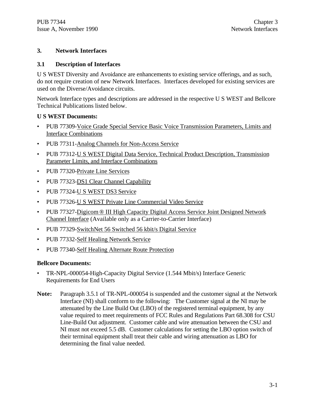#### **3. Network Interfaces**

#### **3.1 Description of Interfaces**

U S WEST Diversity and Avoidance are enhancements to existing service offerings, and as such, do not require creation of new Network Interfaces. Interfaces developed for existing services are used on the Diverse/Avoidance circuits.

Network Interface types and descriptions are addressed in the respective U S WEST and Bellcore Technical Publications listed below.

#### **U S WEST Documents:**

- PUB 77309-Voice Grade Special Service Basic Voice Transmission Parameters, Limits and Interface Combinations
- PUB 77311-Analog Channels for Non-Access Service
- PUB 77312-U S WEST Digital Data Service, Technical Product Description, Transmission Parameter Limits, and Interface Combinations
- PUB 77320-Private Line Services
- PUB 77323-DS1 Clear Channel Capability
- PUB 77324-U S WEST DS3 Service
- PUB 77326-U S WEST Private Line Commercial Video Service
- PUB 77327-Digicom ® III High Capacity Digital Access Service Joint Designed Network Channel Interface (Available only as a Carrier-to-Carrier Interface)
- PUB 77329-SwitchNet 56 Switched 56 kbit/s Digital Service
- PUB 77332-Self Healing Network Service
- PUB 77340-Self Healing Alternate Route Protection

#### **Bellcore Documents:**

- TR-NPL-000054-High-Capacity Digital Service (1.544 Mbit/s) Interface Generic Requirements for End Users
- **Note:** Paragraph 3.5.1 of TR-NPL-000054 is suspended and the customer signal at the Network Interface (NI) shall conform to the following: The Customer signal at the NI may be attenuated by the Line Build Out (LBO) of the registered terminal equipment, by any value required to meet requirements of FCC Rules and Regulations Part 68.308 for CSU Line-Build Out adjustment. Customer cable and wire attenuation between the CSU and NI must not exceed 5.5 dB. Customer calculations for setting the LBO option switch of their terminal equipment shall treat their cable and wiring attenuation as LBO for determining the final value needed.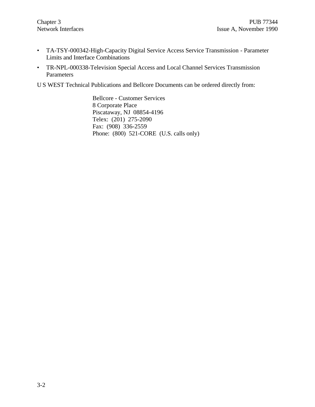- TA-TSY-000342-High-Capacity Digital Service Access Service Transmission Parameter Limits and Interface Combinations
- TR-NPL-000338-Television Special Access and Local Channel Services Transmission Parameters

U S WEST Technical Publications and Bellcore Documents can be ordered directly from:

Bellcore - Customer Services 8 Corporate Place Piscataway, NJ 08854-4196 Telex: (201) 275-2090 Fax: (908) 336-2559 Phone: (800) 521-CORE (U.S. calls only)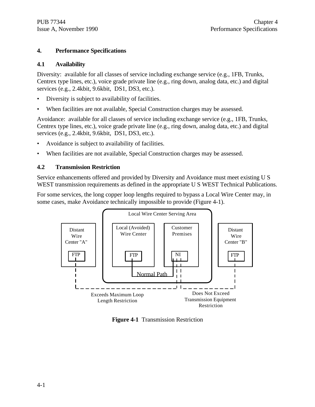#### **4. Performance Specifications**

#### **4.1 Availability**

Diversity: available for all classes of service including exchange service (e.g., 1FB, Trunks, Centrex type lines, etc.), voice grade private line (e.g., ring down, analog data, etc.) and digital services (e.g., 2.4kbit, 9.6kbit, DS1, DS3, etc.).

- Diversity is subject to availability of facilities.
- When facilities are not available, Special Construction charges may be assessed.

Avoidance: available for all classes of service including exchange service (e.g., 1FB, Trunks, Centrex type lines, etc.), voice grade private line (e.g., ring down, analog data, etc.) and digital services (e.g., 2.4kbit, 9.6kbit, DS1, DS3, etc.).

- Avoidance is subject to availability of facilities.
- When facilities are not available, Special Construction charges may be assessed.

#### **4.2 Transmission Restriction**

Service enhancements offered and provided by Diversity and Avoidance must meet existing U S WEST transmission requirements as defined in the appropriate U S WEST Technical Publications.

For some services, the long copper loop lengths required to bypass a Local Wire Center may, in some cases, make Avoidance technically impossible to provide (Figure 4-1).



**Figure 4-1** Transmission Restriction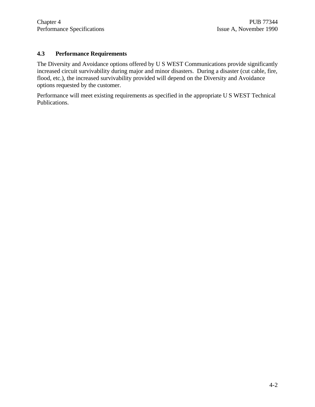#### **4.3 Performance Requirements**

The Diversity and Avoidance options offered by U S WEST Communications provide significantly increased circuit survivability during major and minor disasters. During a disaster (cut cable, fire, flood, etc.), the increased survivability provided will depend on the Diversity and Avoidance options requested by the customer.

Performance will meet existing requirements as specified in the appropriate U S WEST Technical Publications.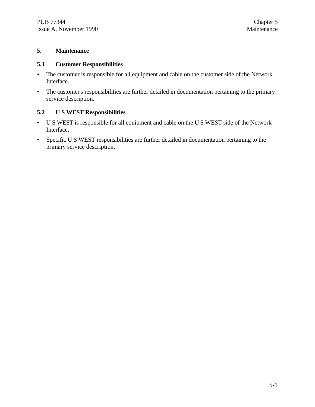#### **5. Maintenance**

#### **5.1 Customer Responsibilities**

- The customer is responsible for all equipment and cable on the customer side of the Network Interface.
- The customer's responsibilities are further detailed in documentation pertaining to the primary service description.

#### **5.2 U S WEST Responsibilities**

- U S WEST is responsible for all equipment and cable on the U S WEST side of the Network Interface.
- Specific U S WEST responsibilities are further detailed in documentation pertaining to the primary service description.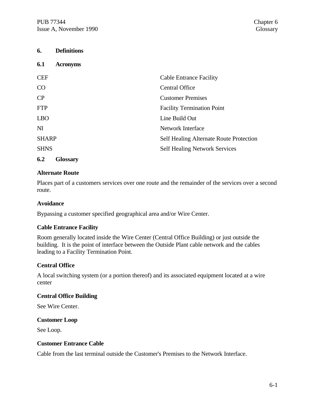| 6.             | <b>Definitions</b> |                                                |
|----------------|--------------------|------------------------------------------------|
| 6.1            | <b>Acronyms</b>    |                                                |
| <b>CEF</b>     |                    | <b>Cable Entrance Facility</b>                 |
| CO             |                    | <b>Central Office</b>                          |
| CP             |                    | <b>Customer Premises</b>                       |
| <b>FTP</b>     |                    | <b>Facility Termination Point</b>              |
| <b>LBO</b>     |                    | Line Build Out                                 |
| N <sub>I</sub> |                    | Network Interface                              |
| <b>SHARP</b>   |                    | <b>Self Healing Alternate Route Protection</b> |
| <b>SHNS</b>    |                    | <b>Self Healing Network Services</b>           |
| 6.2            | <b>Glossary</b>    |                                                |

#### **Alternate Route**

Places part of a customers services over one route and the remainder of the services over a second route.

#### **Avoidance**

Bypassing a customer specified geographical area and/or Wire Center.

#### **Cable Entrance Facility**

Room generally located inside the Wire Center (Central Office Building) or just outside the building. It is the point of interface between the Outside Plant cable network and the cables leading to a Facility Termination Point.

#### **Central Office**

A local switching system (or a portion thereof) and its associated equipment located at a wire center

#### **Central Office Building**

See Wire Center.

#### **Customer Loop**

See Loop.

#### **Customer Entrance Cable**

Cable from the last terminal outside the Customer's Premises to the Network Interface.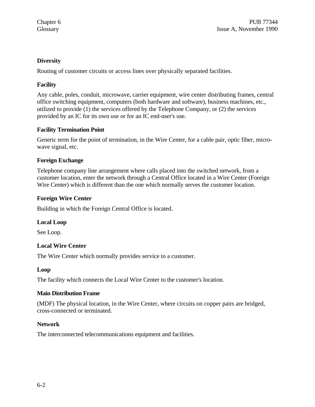#### **Diversity**

Routing of customer circuits or access lines over physically separated facilities.

#### **Facility**

Any cable, poles, conduit, microwave, carrier equipment, wire center distributing frames, central office switching equipment, computers (both hardware and software), business machines, etc., utilized to provide (1) the services offered by the Telephone Company, or (2) the services provided by an IC for its own use or for an IC end-user's use.

#### **Facility Termination Point**

Generic term for the point of termination, in the Wire Center, for a cable pair, optic fiber, microwave signal, etc.

#### **Foreign Exchange**

Telephone company line arrangement where calls placed into the switched network, from a customer location, enter the network through a Central Office located in a Wire Center (Foreign Wire Center) which is different than the one which normally serves the customer location.

#### **Foreign Wire Center**

Building in which the Foreign Central Office is located.

#### **Local Loop**

See Loop.

#### **Local Wire Center**

The Wire Center which normally provides service to a customer.

#### **Loop**

The facility which connects the Local Wire Center to the customer's location.

#### **Main Distribution Frame**

(MDF) The physical location, in the Wire Center, where circuits on copper pairs are bridged, cross-connected or terminated.

#### **Network**

The interconnected telecommunications equipment and facilities.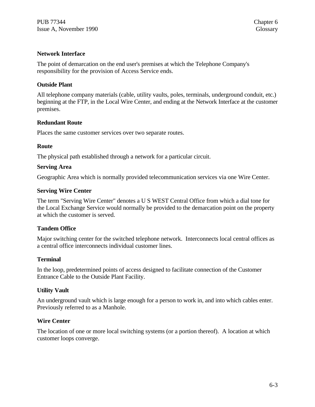#### **Network Interface**

The point of demarcation on the end user's premises at which the Telephone Company's responsibility for the provision of Access Service ends.

#### **Outside Plant**

All telephone company materials (cable, utility vaults, poles, terminals, underground conduit, etc.) beginning at the FTP, in the Local Wire Center, and ending at the Network Interface at the customer premises.

#### **Redundant Route**

Places the same customer services over two separate routes.

#### **Route**

The physical path established through a network for a particular circuit.

#### **Serving Area**

Geographic Area which is normally provided telecommunication services via one Wire Center.

#### **Serving Wire Center**

The term "Serving Wire Center" denotes a U S WEST Central Office from which a dial tone for the Local Exchange Service would normally be provided to the demarcation point on the property at which the customer is served.

#### **Tandem Office**

Major switching center for the switched telephone network. Interconnects local central offices as a central office interconnects individual customer lines.

#### **Terminal**

In the loop, predetermined points of access designed to facilitate connection of the Customer Entrance Cable to the Outside Plant Facility.

#### **Utility Vault**

An underground vault which is large enough for a person to work in, and into which cables enter. Previously referred to as a Manhole.

#### **Wire Center**

The location of one or more local switching systems (or a portion thereof). A location at which customer loops converge.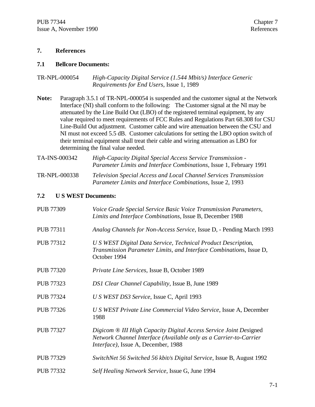#### **7. References**

#### **7.1 Bellcore Documents:**

| TR-NPL-000054 | High-Capacity Digital Service (1.544 Mbit/s) Interface Generic |
|---------------|----------------------------------------------------------------|
|               | <i>Requirements for End Users, Issue 1, 1989</i>               |

- **Note:** Paragraph 3.5.1 of TR-NPL-000054 is suspended and the customer signal at the Network Interface (NI) shall conform to the following: The Customer signal at the NI may be attenuated by the Line Build Out (LBO) of the registered terminal equipment, by any value required to meet requirements of FCC Rules and Regulations Part 68.308 for CSU Line-Build Out adjustment. Customer cable and wire attenuation between the CSU and NI must not exceed 5.5 dB. Customer calculations for setting the LBO option switch of their terminal equipment shall treat their cable and wiring attenuation as LBO for determining the final value needed.
- TA-INS-000342 *High-Capacity Digital Special Access Service Transmission - Parameter Limits and Interface Combinations*, Issue 1, February 1991 TR-NPL-000338 *Television Special Access and Local Channel Services Transmission*

*Parameter Limits and Interface Combinations*, Issue 2, 1993

#### **7.2 U S WEST Documents:**

| <b>PUB 77309</b> | Voice Grade Special Service Basic Voice Transmission Parameters,<br>Limits and Interface Combinations, Issue B, December 1988                                                 |
|------------------|-------------------------------------------------------------------------------------------------------------------------------------------------------------------------------|
| <b>PUB 77311</b> | Analog Channels for Non-Access Service, Issue D, - Pending March 1993                                                                                                         |
| PUB 77312        | U S WEST Digital Data Service, Technical Product Description,<br>Transmission Parameter Limits, and Interface Combinations, Issue D,<br>October 1994                          |
| <b>PUB 77320</b> | Private Line Services, Issue B, October 1989                                                                                                                                  |
| <b>PUB 77323</b> | DS1 Clear Channel Capability, Issue B, June 1989                                                                                                                              |
| <b>PUB 77324</b> | U S WEST DS3 Service, Issue C, April 1993                                                                                                                                     |
| <b>PUB 77326</b> | U S WEST Private Line Commercial Video Service, Issue A, December<br>1988                                                                                                     |
| <b>PUB 77327</b> | Digicom ® III High Capacity Digital Access Service Joint Designed<br>Network Channel Interface (Available only as a Carrier-to-Carrier<br>Interface), Issue A, December, 1988 |
| <b>PUB 77329</b> | SwitchNet 56 Switched 56 kbit/s Digital Service, Issue B, August 1992                                                                                                         |
| <b>PUB 77332</b> | Self Healing Network Service, Issue G, June 1994                                                                                                                              |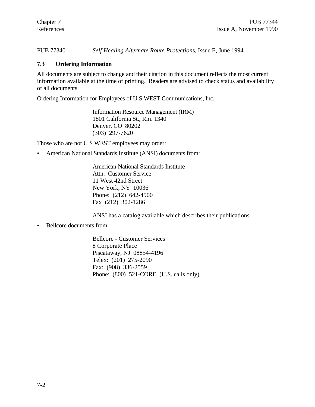PUB 77340 *Self Healing Alternate Route Protection*s, Issue E, June 1994

#### **7.3 Ordering Information**

All documents are subject to change and their citation in this document reflects the most current information available at the time of printing. Readers are advised to check status and availability of all documents.

Ordering Information for Employees of U S WEST Communications, Inc.

Information Resource Management (IRM) 1801 California St., Rm. 1340 Denver, CO 80202 (303) 297-7620

Those who are not U S WEST employees may order:

• American National Standards Institute (ANSI) documents from:

American National Standards Institute Attn: Customer Service 11 West 42nd Street New York, NY 10036 Phone: (212) 642-4900 Fax (212) 302-1286

ANSI has a catalog available which describes their publications.

• Bellcore documents from:

Bellcore - Customer Services 8 Corporate Place Piscataway, NJ 08854-4196 Telex: (201) 275-2090 Fax: (908) 336-2559 Phone: (800) 521-CORE (U.S. calls only)